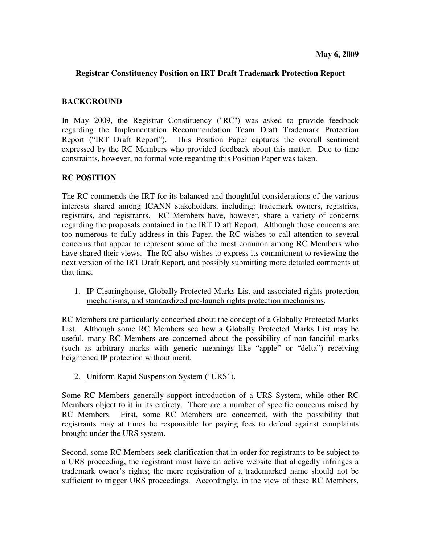## **Registrar Constituency Position on IRT Draft Trademark Protection Report**

## **BACKGROUND**

In May 2009, the Registrar Constituency ("RC") was asked to provide feedback regarding the Implementation Recommendation Team Draft Trademark Protection Report ("IRT Draft Report"). This Position Paper captures the overall sentiment expressed by the RC Members who provided feedback about this matter. Due to time constraints, however, no formal vote regarding this Position Paper was taken.

# **RC POSITION**

The RC commends the IRT for its balanced and thoughtful considerations of the various interests shared among ICANN stakeholders, including: trademark owners, registries, registrars, and registrants. RC Members have, however, share a variety of concerns regarding the proposals contained in the IRT Draft Report. Although those concerns are too numerous to fully address in this Paper, the RC wishes to call attention to several concerns that appear to represent some of the most common among RC Members who have shared their views. The RC also wishes to express its commitment to reviewing the next version of the IRT Draft Report, and possibly submitting more detailed comments at that time.

1. IP Clearinghouse, Globally Protected Marks List and associated rights protection mechanisms, and standardized pre-launch rights protection mechanisms.

RC Members are particularly concerned about the concept of a Globally Protected Marks List. Although some RC Members see how a Globally Protected Marks List may be useful, many RC Members are concerned about the possibility of non-fanciful marks (such as arbitrary marks with generic meanings like "apple" or "delta") receiving heightened IP protection without merit.

### 2. Uniform Rapid Suspension System ("URS").

Some RC Members generally support introduction of a URS System, while other RC Members object to it in its entirety. There are a number of specific concerns raised by RC Members. First, some RC Members are concerned, with the possibility that registrants may at times be responsible for paying fees to defend against complaints brought under the URS system.

Second, some RC Members seek clarification that in order for registrants to be subject to a URS proceeding, the registrant must have an active website that allegedly infringes a trademark owner's rights; the mere registration of a trademarked name should not be sufficient to trigger URS proceedings. Accordingly, in the view of these RC Members,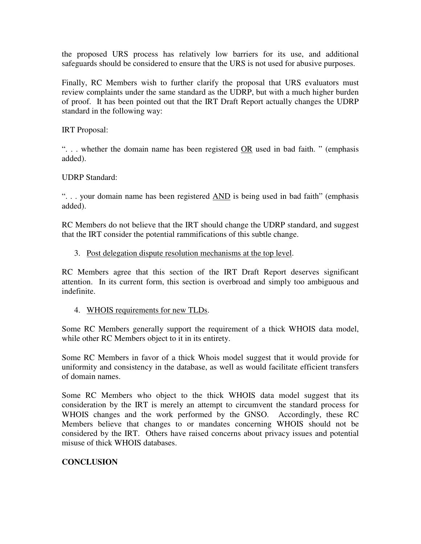the proposed URS process has relatively low barriers for its use, and additional safeguards should be considered to ensure that the URS is not used for abusive purposes.

Finally, RC Members wish to further clarify the proposal that URS evaluators must review complaints under the same standard as the UDRP, but with a much higher burden of proof. It has been pointed out that the IRT Draft Report actually changes the UDRP standard in the following way:

IRT Proposal:

". . . whether the domain name has been registered OR used in bad faith. " (emphasis added).

UDRP Standard:

". . . your domain name has been registered AND is being used in bad faith" (emphasis added).

RC Members do not believe that the IRT should change the UDRP standard, and suggest that the IRT consider the potential rammifications of this subtle change.

### 3. Post delegation dispute resolution mechanisms at the top level.

RC Members agree that this section of the IRT Draft Report deserves significant attention. In its current form, this section is overbroad and simply too ambiguous and indefinite.

### 4. WHOIS requirements for new TLDs.

Some RC Members generally support the requirement of a thick WHOIS data model, while other RC Members object to it in its entirety.

Some RC Members in favor of a thick Whois model suggest that it would provide for uniformity and consistency in the database, as well as would facilitate efficient transfers of domain names.

Some RC Members who object to the thick WHOIS data model suggest that its consideration by the IRT is merely an attempt to circumvent the standard process for WHOIS changes and the work performed by the GNSO. Accordingly, these RC Members believe that changes to or mandates concerning WHOIS should not be considered by the IRT. Others have raised concerns about privacy issues and potential misuse of thick WHOIS databases.

# **CONCLUSION**